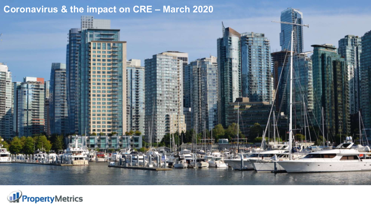# **Coronavirus & the impact on CRE – March 2020**



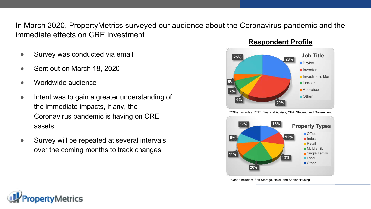In March 2020, PropertyMetrics surveyed our audience about the Coronavirus pandemic and the immediate effects on CRE investment

- Survey was conducted via email
- Sent out on March 18, 2020
- Worldwide audience
- Intent was to gain a greater understanding of the immediate impacts, if any, the Coronavirus pandemic is having on CRE assets
- Survey will be repeated at several intervals over the coming months to track changes



**Respondent Profile**

\*\*Other Includes: REIT, Financial Advisor, CPA, Student, and Government



\*\*Other Includes: Self-Storage, Hotel, and Senior Housing

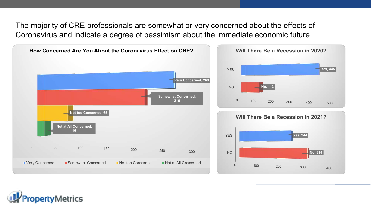The majority of CRE professionals are somewhat or very concerned about the effects of Coronavirus and indicate a degree of pessimism about the immediate economic future



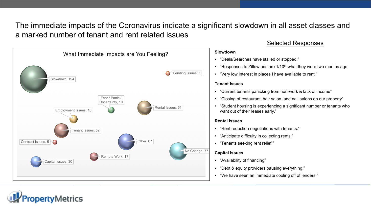The immediate impacts of the Coronavirus indicate a significant slowdown in all asset classes and a marked number of tenant and rent related issues



# Selected Responses

#### **Slowdown**

- "Deals/Searches have stalled or stopped."
- "Responses to Zillow ads are  $1/10<sup>th</sup>$  what they were two months ago
- "Very low interest in places I have available to rent."

### **Tenant Issues**

- "Current tenants panicking from non-work & lack of income"
- "Closing of restaurant, hair salon, and nail salons on our property"
- "Student housing is experiencing a significant number or tenants who want out of their leases early."

### **Rental Issues**

- "Rent reduction negotiations with tenants."
- "Anticipate difficulty in collecting rents."
- "Tenants seeking rent relief."

### **Capital Issues**

- "Availability of financing"
- "Debt & equity providers pausing everything."
- "We have seen an immediate cooling off of lenders."

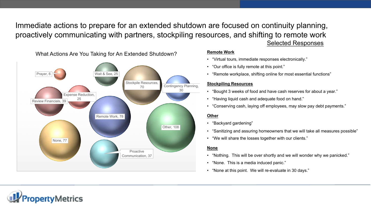Immediate actions to prepare for an extended shutdown are focused on continuity planning, proactively communicating with partners, stockpiling resources, and shifting to remote work Selected Responses



#### **Remote Work**

- "Virtual tours, immediate responses electronically."
- "Our office is fully remote at this point."
- "Remote workplace, shifting online for most essential functions"

#### **Stockpiling Resources**

- "Bought 3 weeks of food and have cash reserves for about a year."
- "Having liquid cash and adequate food on hand."
- "Conserving cash, laying off employees, may slow pay debt payments."

#### **Other**

- "Backyard gardening"
- "Sanitizing and assuring homeowners that we will take all measures possible"
- "We will share the losses together with our clients."

#### **None**

- "Nothing. This will be over shortly and we will wonder why we panicked."
- "None. This is a media induced panic."
- "None at this point. We will re-evaluate in 30 days."

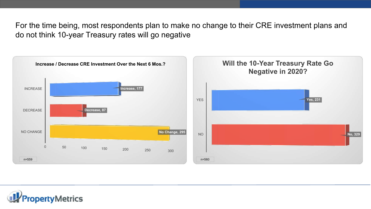For the time being, most respondents plan to make no change to their CRE investment plans and do not think 10-year Treasury rates will go negative



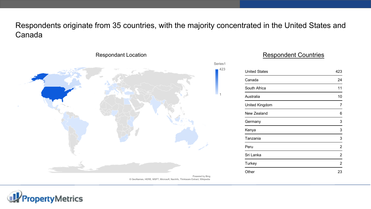Respondents originate from 35 countries, with the majority concentrated in the United States and Canada

1



## Respondent Countries

| <b>United States</b> | 423 |
|----------------------|-----|
| Canada               | 24  |
| South Africa         | 11  |
| Australia            | 10  |
| United Kingdom       | 7   |
| New Zealand          | 6   |
| Germany              | 3   |
| Kenya                | 3   |
| Tanzania             | 3   |
| Peru                 | 2   |
| Sri Lanka            | 2   |
| <b>Turkey</b>        | 2   |
| Other                | 23  |

© GeoNames, HERE, MSFT, Microsoft, NavInfo, Thinkware Extract, Wikipedia Powered by Bing